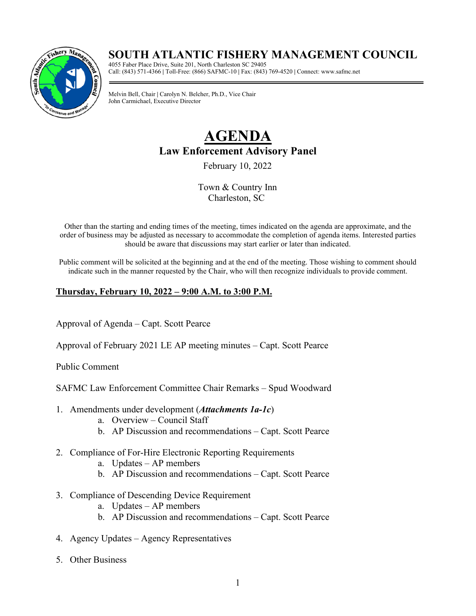## **SOUTH ATLANTIC FISHERY MANAGEMENT COUNCIL**



4055 Faber Place Drive, Suite 201, North Charleston SC 29405 Call: (843) 571-4366 **|** Toll-Free: (866) SAFMC-10 **|** Fax: (843) 769-4520 **|** Connect: www.safmc.net

Melvin Bell, Chair **|** Carolyn N. Belcher, Ph.D., Vice Chair John Carmichael, Executive Director

# **AGENDA Law Enforcement Advisory Panel**

February 10, 2022

Town & Country Inn Charleston, SC

Other than the starting and ending times of the meeting, times indicated on the agenda are approximate, and the order of business may be adjusted as necessary to accommodate the completion of agenda items. Interested parties should be aware that discussions may start earlier or later than indicated.

Public comment will be solicited at the beginning and at the end of the meeting. Those wishing to comment should indicate such in the manner requested by the Chair, who will then recognize individuals to provide comment.

#### **Thursday, February 10, 2022 – 9:00 A.M. to 3:00 P.M.**

Approval of Agenda – Capt. Scott Pearce

Approval of February 2021 LE AP meeting minutes – Capt. Scott Pearce

Public Comment

SAFMC Law Enforcement Committee Chair Remarks – Spud Woodward

- 1. Amendments under development (*Attachments 1a-1c*)
	- a. Overview Council Staff
	- b. AP Discussion and recommendations Capt. Scott Pearce
- 2. Compliance of For-Hire Electronic Reporting Requirements
	- a. Updates AP members
	- b. AP Discussion and recommendations Capt. Scott Pearce
- 3. Compliance of Descending Device Requirement
	- a. Updates AP members
	- b. AP Discussion and recommendations Capt. Scott Pearce
- 4. Agency Updates Agency Representatives
- 5. Other Business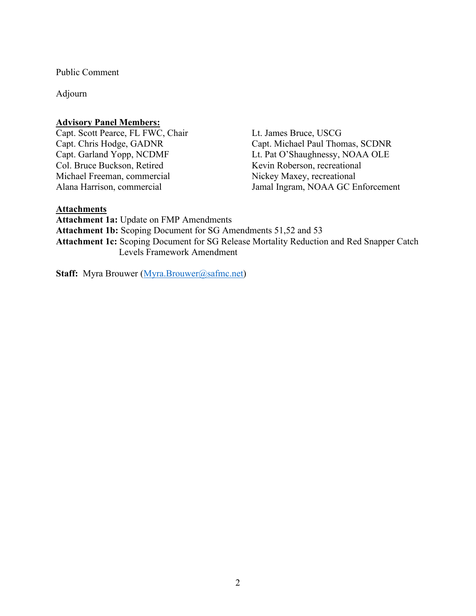Public Comment

Adjourn

#### **Advisory Panel Members:**

Capt. Scott Pearce, FL FWC, Chair Capt. Chris Hodge, GADNR Capt. Garland Yopp, NCDMF Col. Bruce Buckson, Retired Michael Freeman, commercial Alana Harrison, commercial

Lt. James Bruce, USCG Capt. Michael Paul Thomas, SCDNR Lt. Pat O'Shaughnessy, NOAA OLE Kevin Roberson, recreational Nickey Maxey, recreational Jamal Ingram, NOAA GC Enforcement

#### **Attachments**

**Attachment 1a:** Update on FMP Amendments **Attachment 1b:** Scoping Document for SG Amendments 51,52 and 53 **Attachment 1c:** Scoping Document for SG Release Mortality Reduction and Red Snapper Catch Levels Framework Amendment

**Staff:** Myra Brouwer (*Myra.Brouwer@safmc.net*)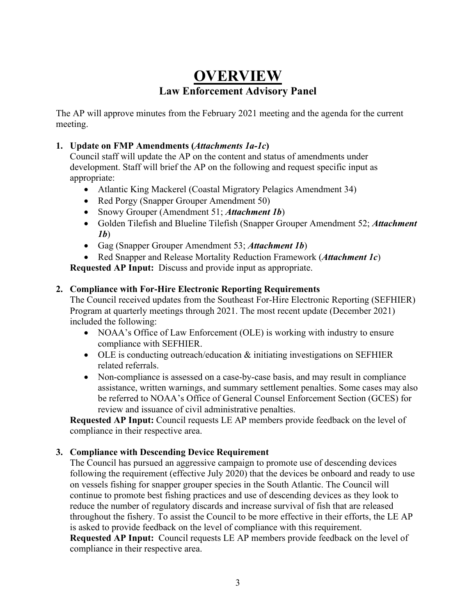# **OVERVIEW Law Enforcement Advisory Panel**

The AP will approve minutes from the February 2021 meeting and the agenda for the current meeting.

#### **1. Update on FMP Amendments (***Attachments 1a-1c***)**

Council staff will update the AP on the content and status of amendments under development. Staff will brief the AP on the following and request specific input as appropriate:

- Atlantic King Mackerel (Coastal Migratory Pelagics Amendment 34)
- Red Porgy (Snapper Grouper Amendment 50)
- Snowy Grouper (Amendment 51; *Attachment 1b*)
- Golden Tilefish and Blueline Tilefish (Snapper Grouper Amendment 52; *Attachment 1b*)
- Gag (Snapper Grouper Amendment 53; *Attachment 1b*)
- Red Snapper and Release Mortality Reduction Framework (*Attachment 1c*)

**Requested AP Input:** Discuss and provide input as appropriate.

#### **2. Compliance with For-Hire Electronic Reporting Requirements**

The Council received updates from the Southeast For-Hire Electronic Reporting (SEFHIER) Program at quarterly meetings through 2021. The most recent update (December 2021) included the following:

- NOAA's Office of Law Enforcement (OLE) is working with industry to ensure compliance with SEFHIER.
- OLE is conducting outreach/education & initiating investigations on SEFHIER related referrals.
- Non-compliance is assessed on a case-by-case basis, and may result in compliance assistance, written warnings, and summary settlement penalties. Some cases may also be referred to NOAA's Office of General Counsel Enforcement Section (GCES) for review and issuance of civil administrative penalties.

**Requested AP Input:** Council requests LE AP members provide feedback on the level of compliance in their respective area.

#### **3. Compliance with Descending Device Requirement**

The Council has pursued an aggressive campaign to promote use of descending devices following the requirement (effective July 2020) that the devices be onboard and ready to use on vessels fishing for snapper grouper species in the South Atlantic. The Council will continue to promote best fishing practices and use of descending devices as they look to reduce the number of regulatory discards and increase survival of fish that are released throughout the fishery. To assist the Council to be more effective in their efforts, the LE AP is asked to provide feedback on the level of compliance with this requirement. **Requested AP Input:** Council requests LE AP members provide feedback on the level of compliance in their respective area.